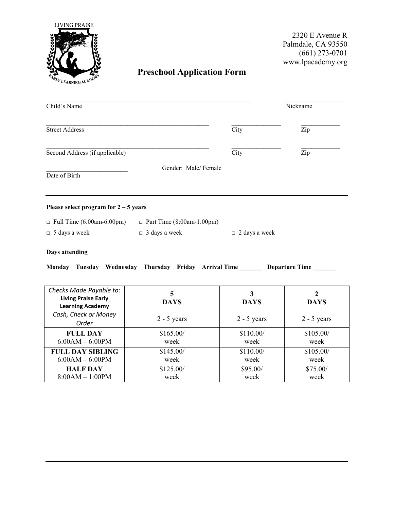

6:00AM – 6:00PM

**FULL DAY SIBLING** 6:00AM – 6:00PM

**HALF DAY** 8:00AM – 1:00PM

2320 E Avenue R Palmdale, CA 93550 (661) 273-0701 www.lpacademy.org

week

\$105.00/ week

\$75.00/ week

## **Preschool Application Form**

| Child's Name                                          |                                                                      | Nickname             |               |  |
|-------------------------------------------------------|----------------------------------------------------------------------|----------------------|---------------|--|
| <b>Street Address</b>                                 |                                                                      | City                 | Zip           |  |
| Second Address (if applicable)                        |                                                                      | City                 | Zip           |  |
| Date of Birth                                         | Gender: Male/Female                                                  |                      |               |  |
| Please select program for $2 - 5$ years               |                                                                      |                      |               |  |
| $\Box$ Full Time (6:00am-6:00pm)                      | $\Box$ Part Time (8:00am-1:00pm)                                     |                      |               |  |
| $\Box$ 5 days a week                                  | $\Box$ 3 days a week                                                 | $\Box$ 2 days a week |               |  |
| Days attending                                        |                                                                      |                      |               |  |
|                                                       | Monday Tuesday Wednesday Thursday Friday Arrival Time Departure Time |                      |               |  |
| Checks Made Payable to:                               | 5                                                                    | 3                    | 2             |  |
| <b>Living Praise Early</b><br><b>Learning Academy</b> | <b>DAYS</b>                                                          | <b>DAYS</b>          | <b>DAYS</b>   |  |
| Cash, Check or Money<br>Order                         | $2 - 5$ years                                                        | $2 - 5$ years        | $2 - 5$ years |  |
| <b>FULL DAY</b>                                       | \$165.00/                                                            | \$110.00/            | \$105.00/     |  |

week

\$145.00/ week

\$125.00/ week

week

\$110.00/ week

\$95.00/ week